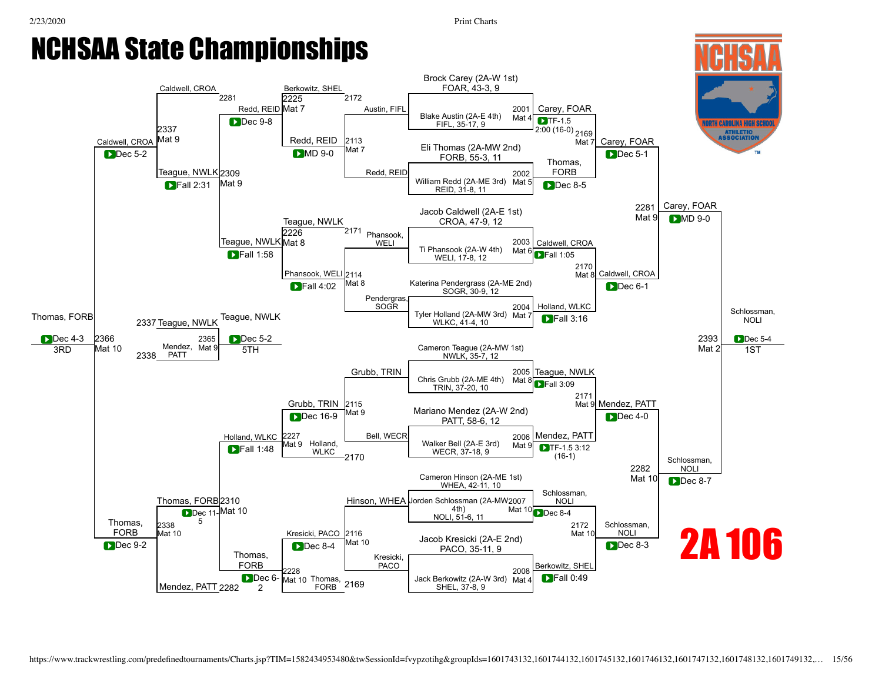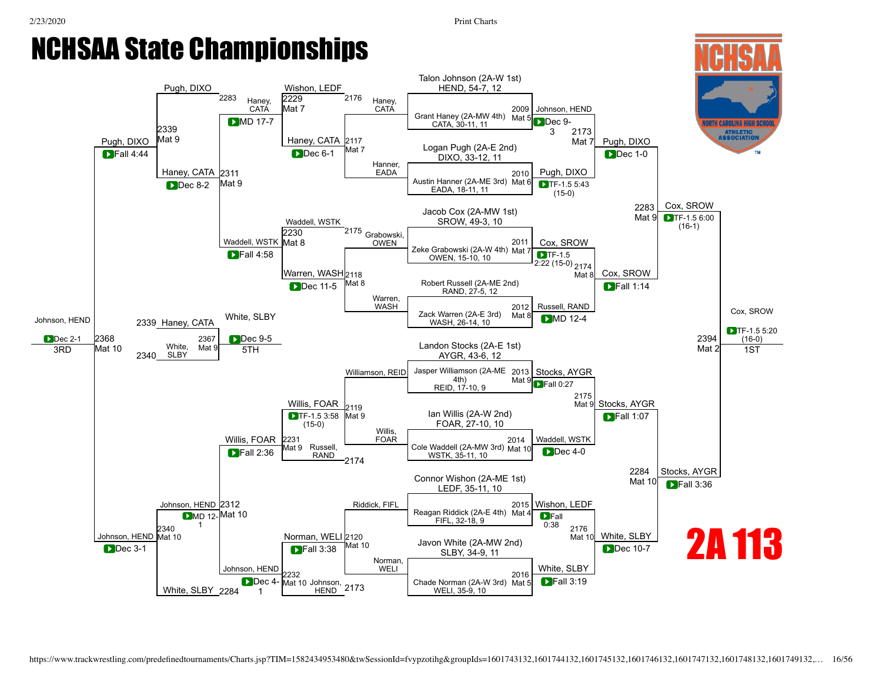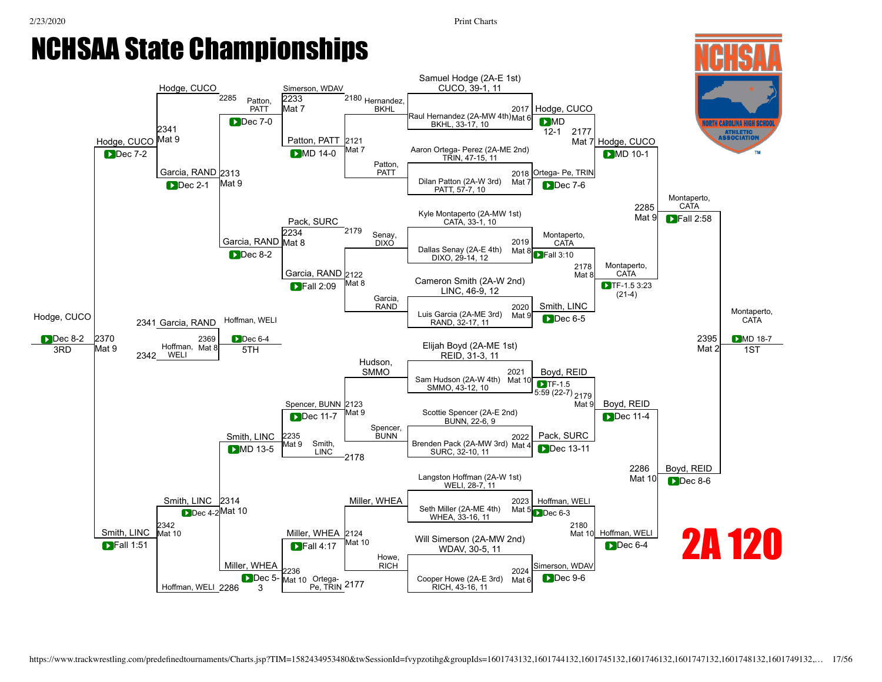

[Hoffman,](javascript:viewProfile(1422108009)) WELI 2286

Mat 10 Ortega-

Dec 5-3

Pe, TRIN 2177

RICH, 43-16, 11

Mat 6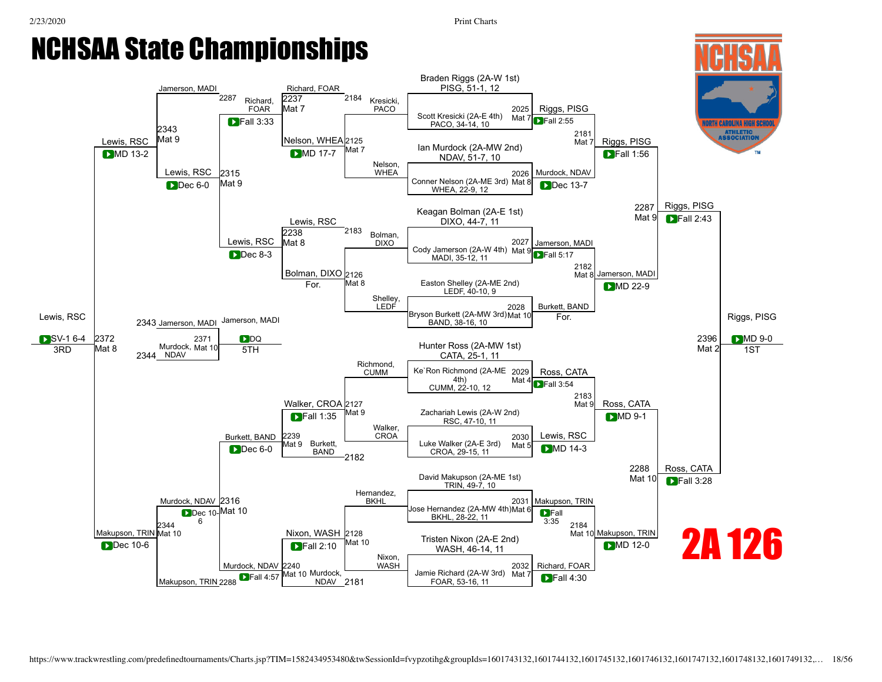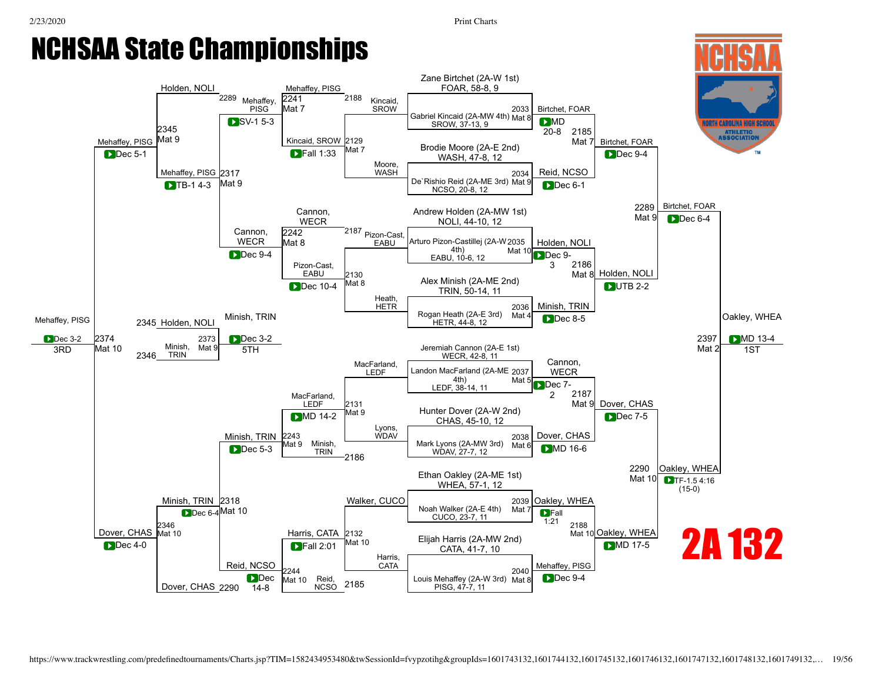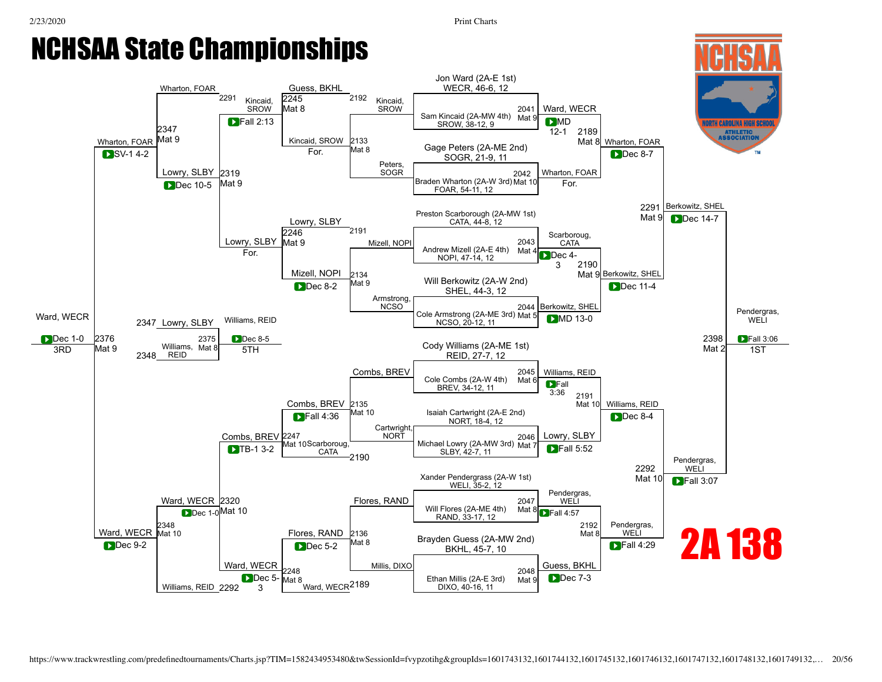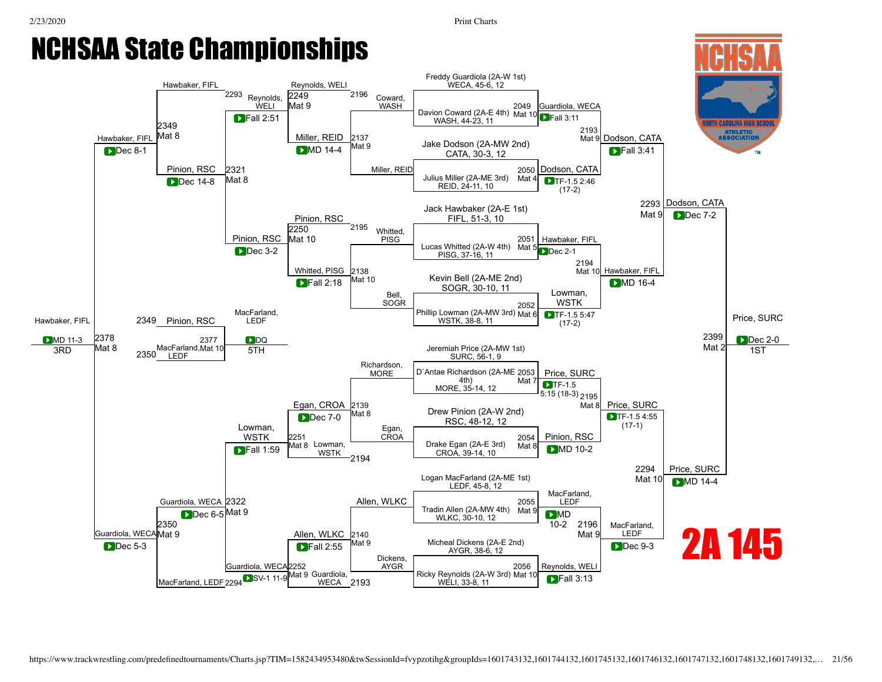## NCHSAA State Championships

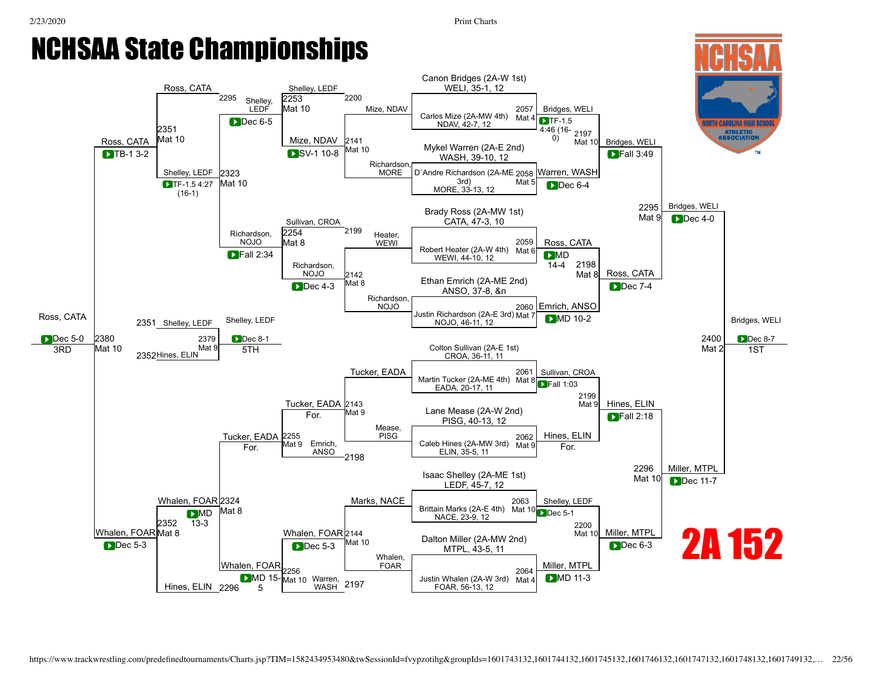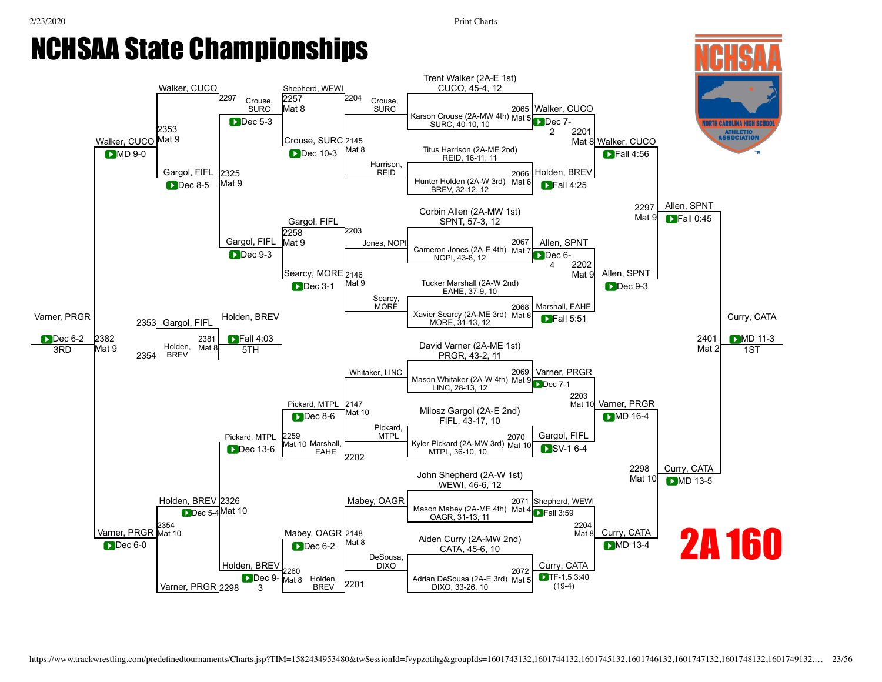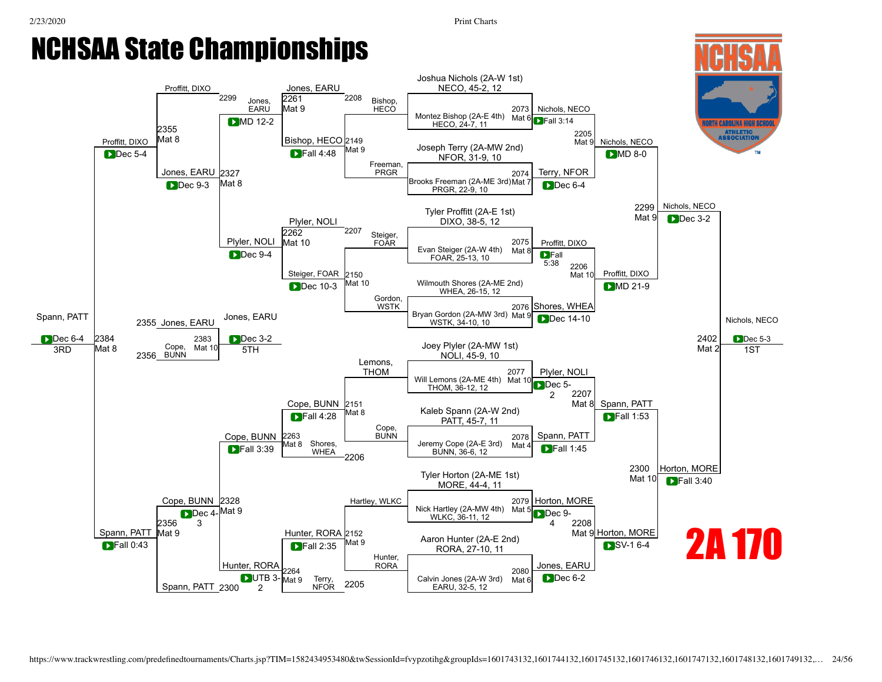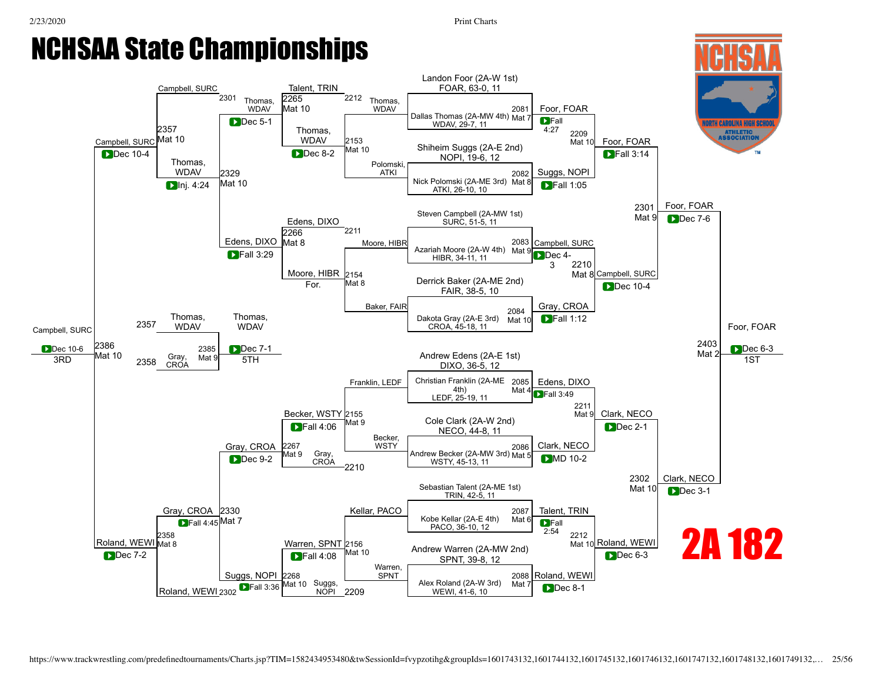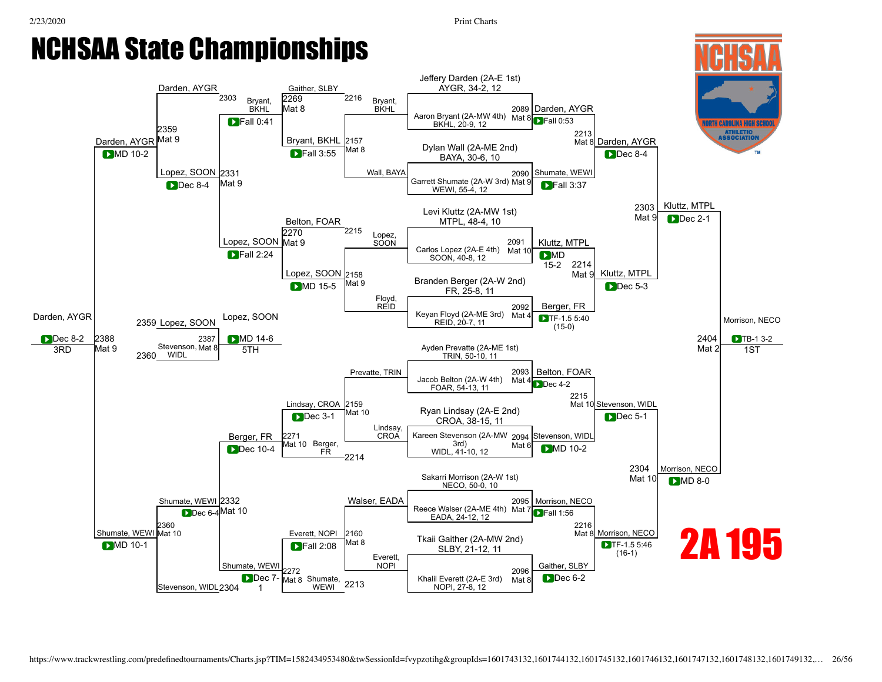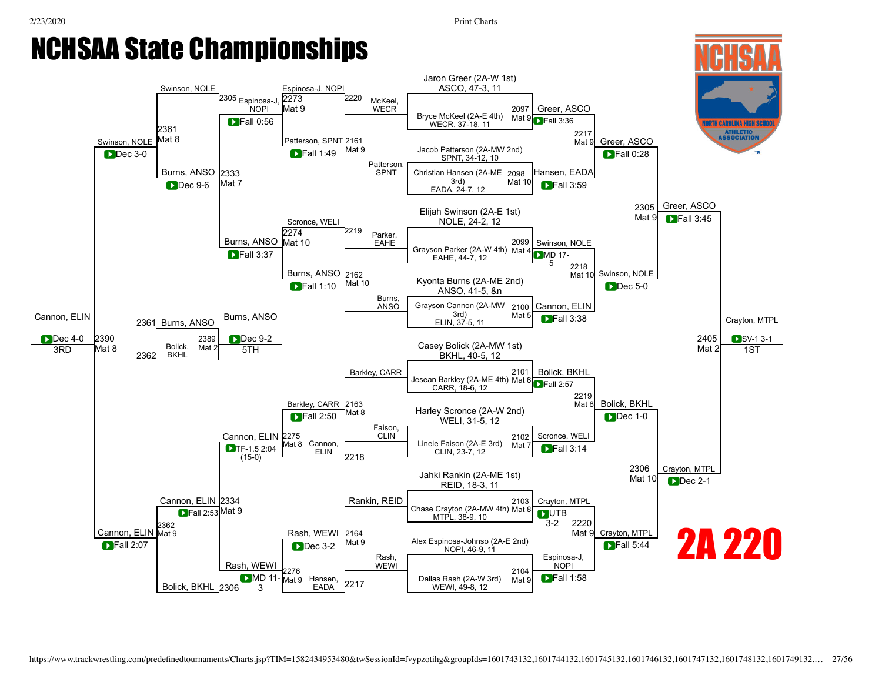